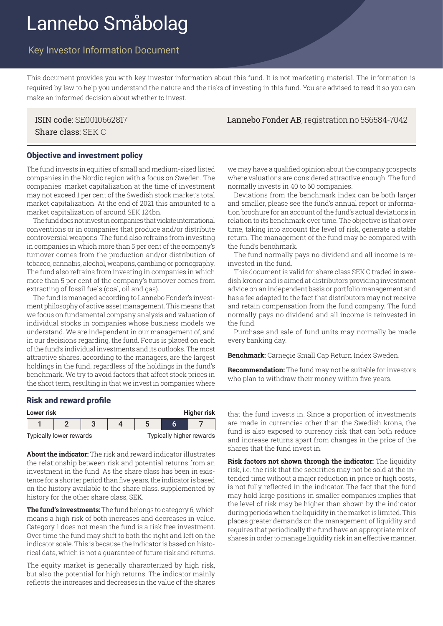# Lannebo Småbolag

# Key Investor Information Document

This document provides you with key investor information about this fund. It is not marketing material. The information is required by law to help you understand the nature and the risks of investing in this fund. You are advised to read it so you can make an informed decision about whether to invest.

Share class: SEK C

ISIN code: SE0010662817 Lannebo Fonder AB, registration no 556584-7042

#### Objective and investment policy

The fund invests in equities of small and medium-sized listed companies in the Nordic region with a focus on Sweden. The companies' market capitalization at the time of investment may not exceed 1 per cent of the Swedish stock market's total market capitalization. At the end of 2021 this amounted to a market capitalization of around SEK 124bn.

The fund does not invest in companies that violate international conventions or in companies that produce and/or distribute controversial weapons. The fund also refrains from investing in companies in which more than 5 per cent of the company's turnover comes from the production and/or distribution of tobacco, cannabis, alcohol, weapons, gambling or pornography. The fund also refrains from investing in companies in which more than 5 per cent of the company's turnover comes from extracting of fossil fuels (coal, oil and gas).

The fund is managed according to Lannebo Fonder's investment philosophy of active asset management. This means that we focus on fundamental company analysis and valuation of individual stocks in companies whose business models we understand. We are independent in our management of, and in our decisions regarding, the fund. Focus is placed on each of the fund's individual investments and its outlooks. The most attractive shares, according to the managers, are the largest holdings in the fund, regardless of the holdings in the fund's benchmark. We try to avoid factors that affect stock prices in the short term, resulting in that we invest in companies where

we may have a qualified opinion about the company prospects where valuations are considered attractive enough. The fund normally invests in 40 to 60 companies.

Deviations from the benchmark index can be both larger and smaller, please see the fund's annual report or information brochure for an account of the fund's actual deviations in relation to its benchmark over time. The objective is that over time, taking into account the level of risk, generate a stable return. The management of the fund may be compared with the fund's benchmark.

The fund normally pays no dividend and all income is reinvested in the fund.

This document is valid for share class SEK C traded in swedish kronor and is aimed at distributors providing investment advice on an independent basis or portfolio management and has a fee adapted to the fact that distributors may not receive and retain compensation from the fund company. The fund normally pays no dividend and all income is reinvested in the fund.

Purchase and sale of fund units may normally be made every banking day.

**Benchmark:** Carnegie Small Cap Return Index Sweden.

**Recommendation:** The fund may not be suitable for investors who plan to withdraw their money within five years.

#### Risk and reward profile

| Lower risk              | <b>Higher risk</b> |  |                          |  |  |  |  |
|-------------------------|--------------------|--|--------------------------|--|--|--|--|
|                         |                    |  |                          |  |  |  |  |
| Typically lower rewards |                    |  | Typically higher rewards |  |  |  |  |

**About the indicator:** The risk and reward indicator illustrates the relationship between risk and potential returns from an investment in the fund. As the share class has been in existence for a shorter period than five years, the indicator is based on the history available to the share class, supplemented by history for the other share class, SEK.

**The fund's investments:** The fund belongs to category 6, which means a high risk of both increases and decreases in value. Category 1 does not mean the fund is a risk free investment. Over time the fund may shift to both the right and left on the indicator scale. This is because the indicator is based on historical data, which is not a guarantee of future risk and returns.

The equity market is generally characterized by high risk, but also the potential for high returns. The indicator mainly reflects the increases and decreases in the value of the shares

that the fund invests in. Since a proportion of investments are made in currencies other than the Swedish krona, the fund is also exposed to currency risk that can both reduce and increase returns apart from changes in the price of the shares that the fund invest in.

**Risk factors not shown through the indicator:** The liquidity risk, i.e. the risk that the securities may not be sold at the intended time without a major reduction in price or high costs, is not fully reflected in the indicator. The fact that the fund may hold large positions in smaller companies implies that the level of risk may be higher than shown by the indicator during periods when the liquidity in the market is limited. This places greater demands on the management of liquidity and requires that periodically the fund have an appropriate mix of shares in order to manage liquidity risk in an effective manner.